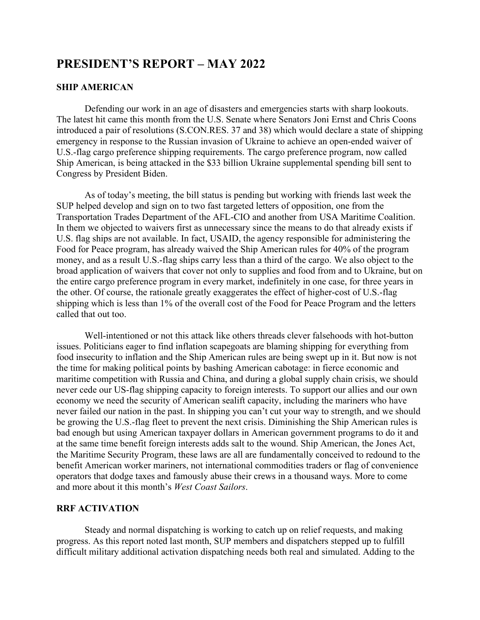# **PRESIDENT'S REPORT – MAY 2022**

## **SHIP AMERICAN**

Defending our work in an age of disasters and emergencies starts with sharp lookouts. The latest hit came this month from the U.S. Senate where Senators Joni Ernst and Chris Coons introduced a pair of resolutions (S.CON.RES. 37 and 38) which would declare a state of shipping emergency in response to the Russian invasion of Ukraine to achieve an open-ended waiver of U.S.-flag cargo preference shipping requirements. The cargo preference program, now called Ship American, is being attacked in the \$33 billion Ukraine supplemental spending bill sent to Congress by President Biden.

As of today's meeting, the bill status is pending but working with friends last week the SUP helped develop and sign on to two fast targeted letters of opposition, one from the Transportation Trades Department of the AFL-CIO and another from USA Maritime Coalition. In them we objected to waivers first as unnecessary since the means to do that already exists if U.S. flag ships are not available. In fact, USAID, the agency responsible for administering the Food for Peace program, has already waived the Ship American rules for 40% of the program money, and as a result U.S.-flag ships carry less than a third of the cargo. We also object to the broad application of waivers that cover not only to supplies and food from and to Ukraine, but on the entire cargo preference program in every market, indefinitely in one case, for three years in the other. Of course, the rationale greatly exaggerates the effect of higher-cost of U.S.-flag shipping which is less than 1% of the overall cost of the Food for Peace Program and the letters called that out too.

Well-intentioned or not this attack like others threads clever falsehoods with hot-button issues. Politicians eager to find inflation scapegoats are blaming shipping for everything from food insecurity to inflation and the Ship American rules are being swept up in it. But now is not the time for making political points by bashing American cabotage: in fierce economic and maritime competition with Russia and China, and during a global supply chain crisis, we should never cede our US-flag shipping capacity to foreign interests. To support our allies and our own economy we need the security of American sealift capacity, including the mariners who have never failed our nation in the past. In shipping you can't cut your way to strength, and we should be growing the U.S.-flag fleet to prevent the next crisis. Diminishing the Ship American rules is bad enough but using American taxpayer dollars in American government programs to do it and at the same time benefit foreign interests adds salt to the wound. Ship American, the Jones Act, the Maritime Security Program, these laws are all are fundamentally conceived to redound to the benefit American worker mariners, not international commodities traders or flag of convenience operators that dodge taxes and famously abuse their crews in a thousand ways. More to come and more about it this month's *West Coast Sailors*.

# **RRF ACTIVATION**

Steady and normal dispatching is working to catch up on relief requests, and making progress. As this report noted last month, SUP members and dispatchers stepped up to fulfill difficult military additional activation dispatching needs both real and simulated. Adding to the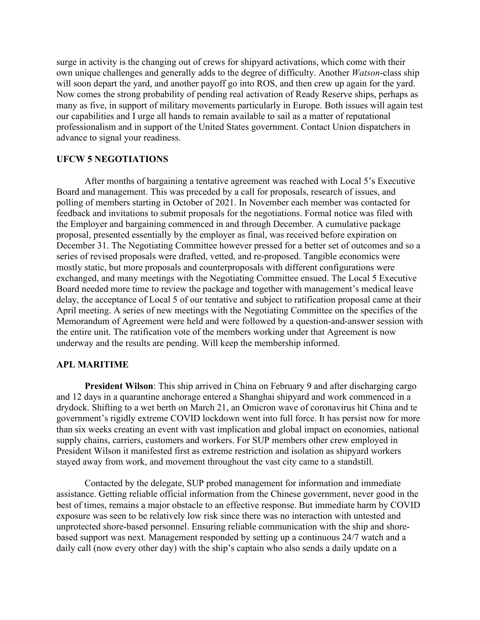surge in activity is the changing out of crews for shipyard activations, which come with their own unique challenges and generally adds to the degree of difficulty. Another *Watson*-class ship will soon depart the yard, and another payoff go into ROS, and then crew up again for the yard. Now comes the strong probability of pending real activation of Ready Reserve ships, perhaps as many as five, in support of military movements particularly in Europe. Both issues will again test our capabilities and I urge all hands to remain available to sail as a matter of reputational professionalism and in support of the United States government. Contact Union dispatchers in advance to signal your readiness.

# **UFCW 5 NEGOTIATIONS**

After months of bargaining a tentative agreement was reached with Local 5's Executive Board and management. This was preceded by a call for proposals, research of issues, and polling of members starting in October of 2021. In November each member was contacted for feedback and invitations to submit proposals for the negotiations. Formal notice was filed with the Employer and bargaining commenced in and through December. A cumulative package proposal, presented essentially by the employer as final, was received before expiration on December 31. The Negotiating Committee however pressed for a better set of outcomes and so a series of revised proposals were drafted, vetted, and re-proposed. Tangible economics were mostly static, but more proposals and counterproposals with different configurations were exchanged, and many meetings with the Negotiating Committee ensued. The Local 5 Executive Board needed more time to review the package and together with management's medical leave delay, the acceptance of Local 5 of our tentative and subject to ratification proposal came at their April meeting. A series of new meetings with the Negotiating Committee on the specifics of the Memorandum of Agreement were held and were followed by a question-and-answer session with the entire unit. The ratification vote of the members working under that Agreement is now underway and the results are pending. Will keep the membership informed.

# **APL MARITIME**

**President Wilson**: This ship arrived in China on February 9 and after discharging cargo and 12 days in a quarantine anchorage entered a Shanghai shipyard and work commenced in a drydock. Shifting to a wet berth on March 21, an Omicron wave of coronavirus hit China and te government's rigidly extreme COVID lockdown went into full force. It has persist now for more than six weeks creating an event with vast implication and global impact on economies, national supply chains, carriers, customers and workers. For SUP members other crew employed in President Wilson it manifested first as extreme restriction and isolation as shipyard workers stayed away from work, and movement throughout the vast city came to a standstill.

Contacted by the delegate, SUP probed management for information and immediate assistance. Getting reliable official information from the Chinese government, never good in the best of times, remains a major obstacle to an effective response. But immediate harm by COVID exposure was seen to be relatively low risk since there was no interaction with untested and unprotected shore-based personnel. Ensuring reliable communication with the ship and shorebased support was next. Management responded by setting up a continuous 24/7 watch and a daily call (now every other day) with the ship's captain who also sends a daily update on a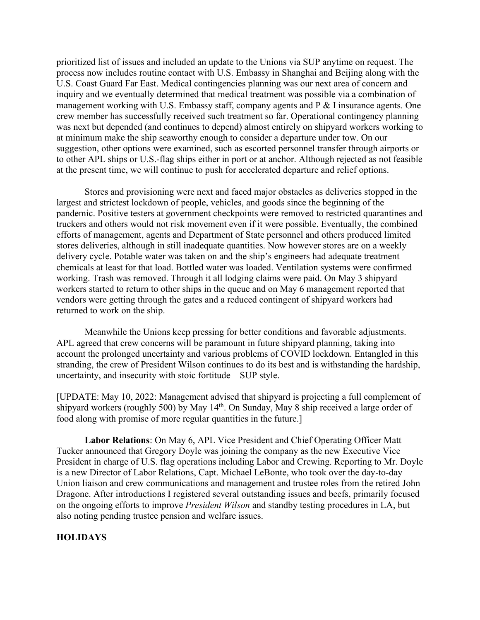prioritized list of issues and included an update to the Unions via SUP anytime on request. The process now includes routine contact with U.S. Embassy in Shanghai and Beijing along with the U.S. Coast Guard Far East. Medical contingencies planning was our next area of concern and inquiry and we eventually determined that medical treatment was possible via a combination of management working with U.S. Embassy staff, company agents and P & I insurance agents. One crew member has successfully received such treatment so far. Operational contingency planning was next but depended (and continues to depend) almost entirely on shipyard workers working to at minimum make the ship seaworthy enough to consider a departure under tow. On our suggestion, other options were examined, such as escorted personnel transfer through airports or to other APL ships or U.S.-flag ships either in port or at anchor. Although rejected as not feasible at the present time, we will continue to push for accelerated departure and relief options.

Stores and provisioning were next and faced major obstacles as deliveries stopped in the largest and strictest lockdown of people, vehicles, and goods since the beginning of the pandemic. Positive testers at government checkpoints were removed to restricted quarantines and truckers and others would not risk movement even if it were possible. Eventually, the combined efforts of management, agents and Department of State personnel and others produced limited stores deliveries, although in still inadequate quantities. Now however stores are on a weekly delivery cycle. Potable water was taken on and the ship's engineers had adequate treatment chemicals at least for that load. Bottled water was loaded. Ventilation systems were confirmed working. Trash was removed. Through it all lodging claims were paid. On May 3 shipyard workers started to return to other ships in the queue and on May 6 management reported that vendors were getting through the gates and a reduced contingent of shipyard workers had returned to work on the ship.

Meanwhile the Unions keep pressing for better conditions and favorable adjustments. APL agreed that crew concerns will be paramount in future shipyard planning, taking into account the prolonged uncertainty and various problems of COVID lockdown. Entangled in this stranding, the crew of President Wilson continues to do its best and is withstanding the hardship, uncertainty, and insecurity with stoic fortitude – SUP style.

[UPDATE: May 10, 2022: Management advised that shipyard is projecting a full complement of shipyard workers (roughly 500) by May 14<sup>th</sup>. On Sunday, May 8 ship received a large order of food along with promise of more regular quantities in the future.]

**Labor Relations**: On May 6, APL Vice President and Chief Operating Officer Matt Tucker announced that Gregory Doyle was joining the company as the new Executive Vice President in charge of U.S. flag operations including Labor and Crewing. Reporting to Mr. Doyle is a new Director of Labor Relations, Capt. Michael LeBonte, who took over the day-to-day Union liaison and crew communications and management and trustee roles from the retired John Dragone. After introductions I registered several outstanding issues and beefs, primarily focused on the ongoing efforts to improve *President Wilson* and standby testing procedures in LA, but also noting pending trustee pension and welfare issues.

# **HOLIDAYS**